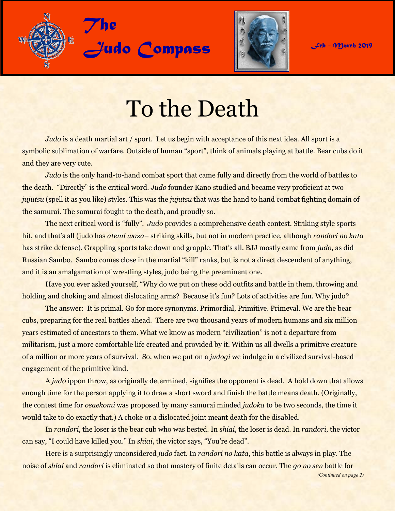



## To the Death

*Judo* is a death martial art / sport. Let us begin with acceptance of this next idea. All sport is a symbolic sublimation of warfare. Outside of human "sport", think of animals playing at battle. Bear cubs do it and they are very cute.

*Judo* is the only hand-to-hand combat sport that came fully and directly from the world of battles to the death. "Directly" is the critical word. *Judo* founder Kano studied and became very proficient at two *jujutsu* (spell it as you like) styles. This was the *jujutsu* that was the hand to hand combat fighting domain of the samurai. The samurai fought to the death, and proudly so.

The next critical word is "fully". *Judo* provides a comprehensive death contest. Striking style sports hit, and that's all (judo has *atemi waza*– striking skills, but not in modern practice, although *randori no kata*  has strike defense). Grappling sports take down and grapple. That's all. BJJ mostly came from *judo*, as did Russian Sambo. Sambo comes close in the martial "kill" ranks, but is not a direct descendent of anything, and it is an amalgamation of wrestling styles, judo being the preeminent one.

Have you ever asked yourself, "Why do we put on these odd outfits and battle in them, throwing and holding and choking and almost dislocating arms? Because it's fun? Lots of activities are fun. Why judo?

The answer: It is primal. Go for more synonyms. Primordial, Primitive. Primeval. We are the bear cubs, preparing for the real battles ahead. There are two thousand years of modern humans and six million years estimated of ancestors to them. What we know as modern "civilization" is not a departure from militarism, just a more comfortable life created and provided by it. Within us all dwells a primitive creature of a million or more years of survival. So, when we put on a *judogi* we indulge in a civilized survival-based engagement of the primitive kind.

A *judo* ippon throw, as originally determined, signifies the opponent is dead. A hold down that allows enough time for the person applying it to draw a short sword and finish the battle means death. (Originally, the contest time for *osaekomi* was proposed by many samurai minded *judoka* to be two seconds, the time it would take to do exactly that.) A choke or a dislocated joint meant death for the disabled.

In *randori*, the loser is the bear cub who was bested. In *shiai*, the loser is dead. In *randori*, the victor can say, "I could have killed you." In *shiai*, the victor says, "You're dead".

Here is a surprisingly unconsidered *judo* fact. In *randori no kata*, this battle is always in play. The noise of *shiai* and *randori* is eliminated so that mastery of finite details can occur. The *go no sen* battle for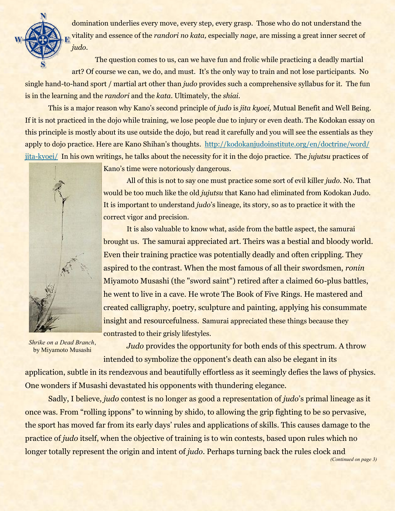<span id="page-1-0"></span>

domination underlies every move, every step, every grasp. Those who do not understand the vitality and essence of the *randori no kata,* especially *nage*, are missing a great inner secret of *judo*.

The question comes to us, can we have fun and frolic while practicing a deadly martial art? Of course we can, we do, and must. It's the only way to train and not lose participants. No single hand-to-hand sport / martial art other than *judo* provides such a comprehensive syllabus for it. The fun is in the learning and the *randori* and the *kata*. Ultimately, the *shiai*.

This is a major reason why Kano's second principle of *judo* is *jita kyoei,* Mutual Benefit and Well Being. If it is not practiced in the dojo while training, we lose people due to injury or even death. The Kodokan essay on this principle is mostly about its use outside the dojo, but read it carefully and you will see the essentials as they apply to dojo practice. Here are Kano Shihan's thoughts. [http://kodokanjudoinstitute.org/en/doctrine/word/](#page-1-0) [jita-kyoei/](#page-1-0) In his own writings, he talks about the necessity for it in the dojo practice. The *jujutsu* practices of



Kano's time were notoriously dangerous.

All of this is not to say one must practice some sort of evil killer *judo*. No. That would be too much like the old *jujutsu* that Kano had eliminated from Kodokan Judo. It is important to understand *judo*'s lineage, its story, so as to practice it with the correct vigor and precision.

It is also valuable to know what, aside from the battle aspect, the samurai brought us. The samurai appreciated art. Theirs was a bestial and bloody world. Even their training practice was potentially deadly and often crippling. They aspired to the contrast. When the most famous of all their swordsmen, *ronin*  Miyamoto Musashi (the "sword saint") retired after a claimed 60-plus battles, he went to live in a cave. He wrote The Book of Five Rings. He mastered and created calligraphy, poetry, sculpture and painting, applying his consummate insight and resourcefulness. Samurai appreciated these things because they contrasted to their grisly lifestyles.

*Shrike on a Dead Branch*, by Miyamoto Musashi

*Judo* provides the opportunity for both ends of this spectrum. A throw intended to symbolize the opponent's death can also be elegant in its

application, subtle in its rendezvous and beautifully effortless as it seemingly defies the laws of physics. One wonders if Musashi devastated his opponents with thundering elegance.

Sadly, I believe, *judo* contest is no longer as good a representation of *judo*'s primal lineage as it once was. From "rolling ippons" to winning by shido, to allowing the grip fighting to be so pervasive, the sport has moved far from its early days' rules and applications of skills. This causes damage to the practice of *judo* itself, when the objective of training is to win contests, based upon rules which no longer totally represent the origin and intent of *judo*. Perhaps turning back the rules clock and